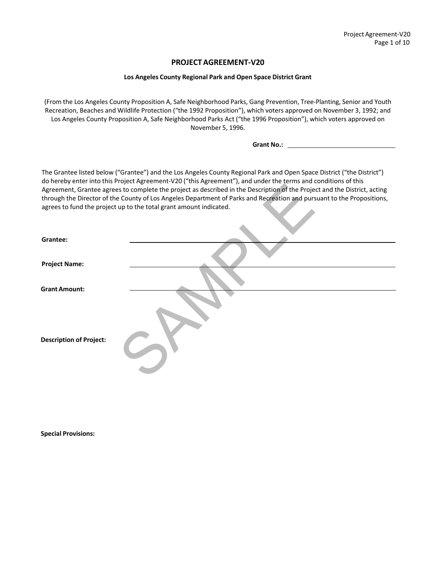# **PROJECTAGREEMENT‐V20**

#### **Los Angeles County Regional Park and Open Space District Grant**

(From the Los Angeles County Proposition A, Safe Neighborhood Parks, Gang Prevention, Tree‐Planting, Senior and Youth Recreation, Beaches and Wildlife Protection ("the 1992 Proposition"), which voters approved on November 3, 1992; and Los Angeles County Proposition A, Safe Neighborhood Parks Act ("the 1996 Proposition"), which voters approved on November 5, 1996.

**Grant No.:** 

The Grantee listed below ("Grantee") and the Los Angeles County Regional Park and Open Space District ("the District") do hereby enter into this Project Agreement‐V20 ("this Agreement"), and under the terms and conditions of this Agreement, Grantee agrees to complete the project as described in the Description of the Project and the District, acting through the Director of the County of Los Angeles Department of Parks and Recreation and pursuant to the Propositions, agrees to fund the project up to the total grant amount indicated.

|                                | ad nereby enter mito this inoject hyrechiem, vzo panishyjectment y, and anaer the terms and conditions or this<br>Agreement, Grantee agrees to complete the project as described in the Description of the Project and the District, acting<br>through the Director of the County of Los Angeles Department of Parks and Recreation and pursuant to the Propositions,<br>agrees to fund the project up to the total grant amount indicated. |
|--------------------------------|---------------------------------------------------------------------------------------------------------------------------------------------------------------------------------------------------------------------------------------------------------------------------------------------------------------------------------------------------------------------------------------------------------------------------------------------|
| Grantee:                       |                                                                                                                                                                                                                                                                                                                                                                                                                                             |
| <b>Project Name:</b>           |                                                                                                                                                                                                                                                                                                                                                                                                                                             |
| <b>Grant Amount:</b>           |                                                                                                                                                                                                                                                                                                                                                                                                                                             |
| <b>Description of Project:</b> |                                                                                                                                                                                                                                                                                                                                                                                                                                             |

 **Special Provisions:**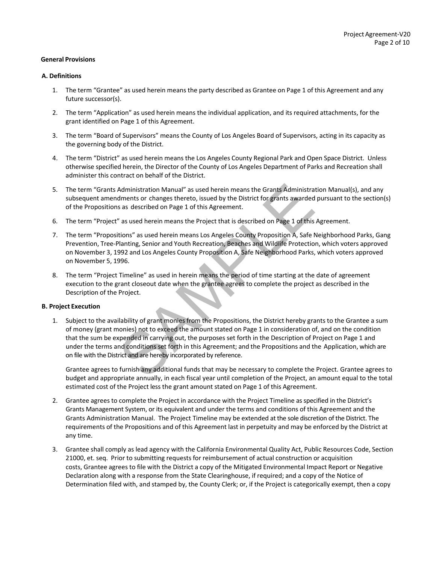#### **General Provisions**

## **A. Definitions**

- 1. The term "Grantee" as used herein means the party described as Grantee on Page 1 of this Agreement and any future successor(s).
- 2. The term "Application" as used herein means the individual application, and its required attachments, for the grant identified on Page 1 of this Agreement.
- 3. The term "Board of Supervisors" means the County of Los Angeles Board of Supervisors, acting in its capacity as the governing body of the District.
- 4. The term "District" as used herein means the Los Angeles County Regional Park and Open Space District. Unless otherwise specified herein, the Director of the County of Los Angeles Department of Parks and Recreation shall administer this contract on behalf of the District.
- 5. The term "Grants Administration Manual" as used herein means the Grants Administration Manual(s), and any subsequent amendments or changes thereto, issued by the District for grants awarded pursuant to the section(s) of the Propositions as described on Page 1 of this Agreement.
- 6. The term "Project" as used herein means the Project that is described on Page 1 of this Agreement.
- 7. The term "Propositions" as used herein means Los Angeles County Proposition A, Safe Neighborhood Parks, Gang Prevention, Tree‐Planting, Senior and Youth Recreation, Beaches and Wildlife Protection, which voters approved on November 3, 1992 and Los Angeles County Proposition A, Safe Neighborhood Parks, which voters approved on November 5, 1996.
- 8. The term "Project Timeline" as used in herein means the period of time starting at the date of agreement execution to the grant closeout date when the grantee agrees to complete the project as described in the Description of the Project.

#### **B. Project Execution**

Administration Manual" as used herein means the Grants Administratements or changes thereto, issued by the District for grants awarded<br>s as described on Page 1 of this Agreement.<br>" as used herein means the Project that is 1. Subject to the availability of grant monies from the Propositions, the District hereby grants to the Grantee a sum of money (grant monies) not to exceed the amount stated on Page 1 in consideration of, and on the condition that the sum be expended in carrying out, the purposes set forth in the Description of Project on Page 1 and under the terms and conditions set forth in this Agreement; and the Propositions and the Application, which are on file with the District and are hereby incorporated by reference.

Grantee agrees to furnish any additional funds that may be necessary to complete the Project. Grantee agrees to budget and appropriate annually, in each fiscal year until completion of the Project, an amount equal to the total estimated cost of the Project less the grant amount stated on Page 1 of this Agreement.

- 2. Grantee agrees to complete the Project in accordance with the Project Timeline as specified in the District's Grants Management System, or its equivalent and under the terms and conditions of this Agreement and the Grants Administration Manual. The Project Timeline may be extended at the sole discretion of the District. The requirements of the Propositions and of this Agreement last in perpetuity and may be enforced by the District at any time.
- 3. Grantee shall comply as lead agency with the California Environmental Quality Act, Public Resources Code, Section 21000, et. seq. Prior to submitting requests for reimbursement of actual construction or acquisition costs, Grantee agrees to file with the District a copy of the Mitigated Environmental Impact Report or Negative Declaration along with a response from the State Clearinghouse, if required; and a copy of the Notice of Determination filed with, and stamped by, the County Clerk; or, if the Project is categorically exempt, then a copy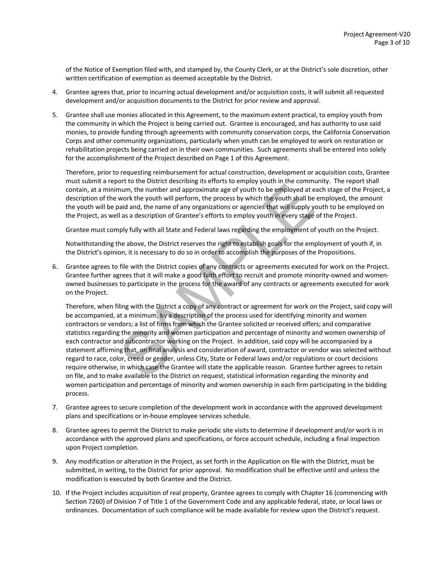of the Notice of Exemption filed with, and stamped by, the County Clerk, or at the District's sole discretion, other written certification of exemption as deemed acceptable by the District.

- 4. Grantee agrees that, prior to incurring actual development and/or acquisition costs, it will submit all requested development and/or acquisition documents to the District for prior review and approval.
- 5. Grantee shall use monies allocated in this Agreement, to the maximum extent practical, to employ youth from the community in which the Project is being carried out. Grantee is encouraged, and has authority to use said monies, to provide funding through agreements with community conservation corps, the California Conservation Corps and other community organizations, particularly when youth can be employed to work on restoration or rehabilitation projects being carried on in their own communities. Such agreements shall be entered into solely for the accomplishment of the Project described on Page 1 of this Agreement.

Therefore, prior to requesting reimbursement for actual construction, development or acquisition costs, Grantee must submit a report to the District describing its efforts to employ youth in the community. The report shall contain, at a minimum, the number and approximate age of youth to be employed at each stage of the Project, a description of the work the youth will perform, the process by which the youth shall be employed, the amount the youth will be paid and, the name of any organizations or agencies that will supply youth to be employed on the Project, as well as a description of Grantee's efforts to employ youth in every stage of the Project.

Grantee must comply fully with all State and Federal laws regarding the employment of youth on the Project.

Notwithstanding the above, the District reserves the right to establish goals for the employment of youth if, in the District's opinion, it is necessary to do so in order to accomplish the purposes of the Propositions.

6. Grantee agrees to file with the District copies of any contracts or agreements executed for work on the Project. Grantee further agrees that it will make a good faith effort to recruit and promote minority‐owned and women‐ owned businesses to participate in the process for the award of any contracts or agreements executed for work on the Project.

orted and subcontracts are apply to the product of the Dimensional and the umber and approximate age of youth to be employed at e work the youth will perform, the process by which the youth shall be baid and, the name of a Therefore, when filing with the District a copy of any contract or agreement for work on the Project, said copy will be accompanied, at a minimum, by a description of the process used for identifying minority and women contractors or vendors; a list of firms from which the Grantee solicited or received offers; and comparative statistics regarding the minority and women participation and percentage of minority and women ownership of each contractor and subcontractor working on the Project. In addition, said copy will be accompanied by a statement affirming that, on final analysis and consideration of award, contractor or vendor was selected without regard to race, color, creed or gender, unless City, State or Federal laws and/or regulations or court decisions require otherwise, in which case the Grantee will state the applicable reason. Grantee further agrees to retain on file, and to make available to the District on request, statistical information regarding the minority and women participation and percentage of minority and women ownership in each firm participating in the bidding process.

- 7. Grantee agrees to secure completion of the development work in accordance with the approved development plans and specifications or in‐house employee services schedule.
- 8. Grantee agrees to permit the District to make periodic site visits to determine if development and/or work is in accordance with the approved plans and specifications, or force account schedule, including a final inspection upon Project completion.
- 9. Any modification or alteration in the Project, as set forth in the Application on file with the District, must be submitted, in writing, to the District for prior approval. No modification shall be effective until and unless the modification is executed by both Grantee and the District.
- 10. If the Project includes acquisition of real property, Grantee agrees to comply with Chapter 16 (commencing with Section 7260) of Division 7 of Title 1 of the Government Code and any applicable federal, state, or local laws or ordinances. Documentation of such compliance will be made available for review upon the District's request.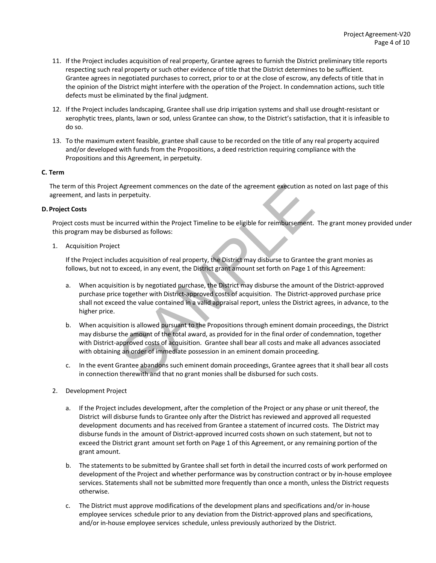- 11. If the Project includes acquisition of real property, Grantee agrees to furnish the District preliminary title reports respecting such real property or such other evidence of title that the District determines to be sufficient. Grantee agrees in negotiated purchases to correct, prior to or at the close of escrow, any defects of title that in the opinion of the District might interfere with the operation of the Project. In condemnation actions, such title defects must be eliminated by the final judgment.
- 12. If the Project includes landscaping, Grantee shall use drip irrigation systems and shall use drought-resistant or xerophytic trees, plants, lawn or sod, unless Grantee can show, to the District's satisfaction, that it is infeasible to do so.
- 13. To the maximum extent feasible, grantee shall cause to be recorded on the title of any real property acquired and/or developed with funds from the Propositions, a deed restriction requiring compliance with the Propositions and this Agreement, in perpetuity.

## **C. Term**

The term of this Project Agreement commences on the date of the agreement execution as noted on last page of this agreement, and lasts in perpetuity.

#### **D.Project Costs**

Project costs must be incurred within the Project Timeline to be eligible for reimbursement. The grant money provided under this program may be disbursed as follows:

1. Acquisition Project

If the Project includes acquisition of real property, the District may disburse to Grantee the grant monies as follows, but not to exceed, in any event, the District grant amount set forth on Page 1 of this Agreement:

- a. When acquisition is by negotiated purchase, the District may disburse the amount of the District-approved purchase price together with District‐approved costs of acquisition. The District‐approved purchase price shall not exceed the value contained in a valid appraisal report, unless the District agrees, in advance, to the higher price.
- Agreement commences on the date of the agreement execution as perpetuity.<br>
ncurred within the Project Timeline to be eligible for reimbursement.<br>
sibursed as follows:<br>
t<br>
des acquisition of real property, the District may b. When acquisition is allowed pursuant to the Propositions through eminent domain proceedings, the District may disburse the amount of the total award, as provided for in the final order of condemnation, together with District-approved costs of acquisition. Grantee shall bear all costs and make all advances associated with obtaining an order of immediate possession in an eminent domain proceeding.
- c. In the event Grantee abandons such eminent domain proceedings, Grantee agrees that it shall bear all costs in connection therewith and that no grant monies shall be disbursed for such costs.
- 2. Development Project
	- a. If the Project includes development, after the completion of the Project or any phase or unit thereof, the District will disburse funds to Grantee only after the District has reviewed and approved all requested development documents and has received from Grantee a statement of incurred costs. The District may disburse funds in the amount of District‐approved incurred costs shown on such statement, but not to exceed the District grant amount set forth on Page 1 of this Agreement, or any remaining portion of the grant amount.
	- b. The statements to be submitted by Grantee shall set forth in detail the incurred costs of work performed on development of the Project and whether performance was by construction contract or by in‐house employee services. Statements shall not be submitted more frequently than once a month, unless the District requests otherwise.
	- c. The District must approve modifications of the development plans and specifications and/or in‐house employee services schedule prior to any deviation from the District-approved plans and specifications, and/or in‐house employee services schedule, unless previously authorized by the District.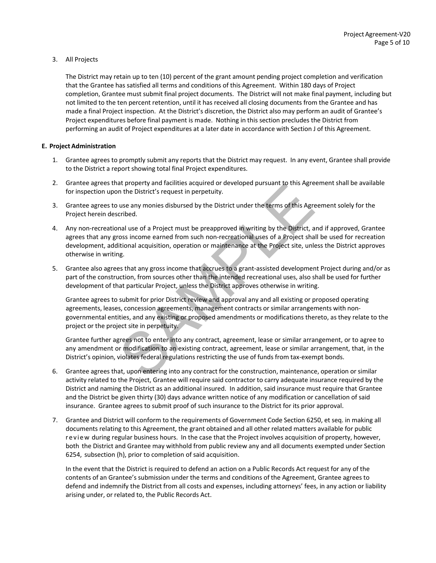## 3. All Projects

The District may retain up to ten (10) percent of the grant amount pending project completion and verification that the Grantee has satisfied all terms and conditions of this Agreement. Within 180 days of Project completion, Grantee must submit final project documents. The District will not make final payment, including but not limited to the ten percent retention, until it has received all closing documents from the Grantee and has made a final Project inspection. At the District's discretion, the District also may perform an audit of Grantee's Project expenditures before final payment is made. Nothing in this section precludes the District from performing an audit of Project expenditures at a later date in accordance with Section J of this Agreement.

## **E. Project Administration**

- 1. Grantee agrees to promptly submit any reports that the District may request. In any event, Grantee shall provide to the District a report showing total final Project expenditures.
- 2. Grantee agrees that property and facilities acquired or developed pursuant to this Agreement shall be available for inspection upon the District's request in perpetuity.
- 3. Grantee agrees to use any monies disbursed by the District under the terms of this Agreement solely for the Project herein described.
- 4. Any non-recreational use of a Project must be preapproved in writing by the District, and if approved, Grantee agrees that any gross income earned from such non‐recreational uses of a Project shall be used for recreation development, additional acquisition, operation or maintenance at the Project site, unless the District approves otherwise in writing.
- 5. Grantee also agrees that any gross income that accrues to a grant-assisted development Project during and/or as part of the construction, from sources other than the intended recreational uses, also shall be used for further development of that particular Project, unless the District approves otherwise in writing.

at property and rachities acquired or developed pursuant to this Agre<br>
in the District's request in perpetuity.<br>
use any monies disbursed by the District under the terms of this Agre<br>
cribed.<br>
Inal use of a Project must be Grantee agrees to submit for prior District review and approval any and all existing or proposed operating agreements, leases, concession agreements, management contracts or similar arrangements with nongovernmental entities, and any existing or proposed amendments or modifications thereto, as they relate to the project or the project site in perpetuity.

Grantee further agrees not to enter into any contract, agreement, lease or similar arrangement, or to agree to any amendment or modification to an existing contract, agreement, lease or similar arrangement, that, in the District's opinion, violates federal regulations restricting the use of funds from tax-exempt bonds.

- 6. Grantee agrees that, upon entering into any contract for the construction, maintenance, operation or similar activity related to the Project, Grantee will require said contractor to carry adequate insurance required by the District and naming the District as an additional insured. In addition, said insurance must require that Grantee and the District be given thirty (30) days advance written notice of any modification or cancellation of said insurance. Grantee agrees to submit proof of such insurance to the District for its prior approval.
- 7. Grantee and District will conform to the requirements of Government Code Section 6250, et seq. in making all documents relating to this Agreement, the grant obtained and all other related matters available for public review during regular business hours. In the case that the Project involves acquisition of property, however, both the District and Grantee may withhold from public review any and all documents exempted under Section 6254, subsection (h), prior to completion of said acquisition.

In the event that the District is required to defend an action on a Public Records Act request for any of the contents of an Grantee's submission under the terms and conditions of the Agreement, Grantee agrees to defend and indemnify the District from all costs and expenses, including attorneys' fees, in any action or liability arising under, or related to, the Public Records Act.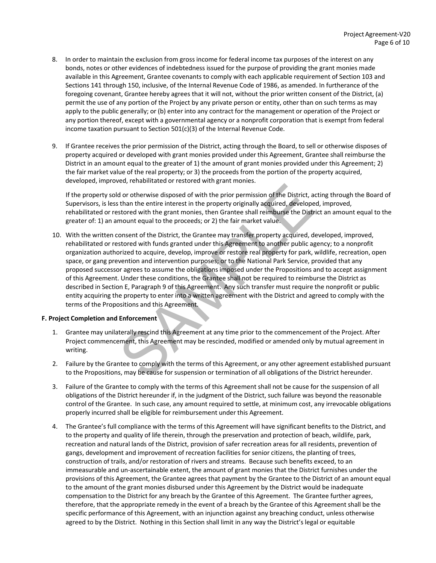- 8. In order to maintain the exclusion from gross income for federal income tax purposes of the interest on any bonds, notes or other evidences of indebtedness issued for the purpose of providing the grant monies made available in this Agreement, Grantee covenants to comply with each applicable requirement of Section 103 and Sections 141 through 150, inclusive, of the Internal Revenue Code of 1986, as amended. In furtherance of the foregoing covenant, Grantee hereby agrees that it will not, without the prior written consent of the District, (a) permit the use of any portion of the Project by any private person or entity, other than on such terms as may apply to the public generally; or (b) enter into any contract for the management or operation of the Project or any portion thereof, except with a governmental agency or a nonprofit corporation that is exempt from federal income taxation pursuant to Section 501(c)(3) of the Internal Revenue Code.
- 9. If Grantee receives the prior permission of the District, acting through the Board, to sell or otherwise disposes of property acquired or developed with grant monies provided under this Agreement, Grantee shall reimburse the District in an amount equal to the greater of 1) the amount of grant monies provided under this Agreement; 2) the fair market value of the real property; or 3) the proceeds from the portion of the property acquired, developed, improved, rehabilitated or restored with grant monies.

If the property sold or otherwise disposed of with the prior permission of the District, acting through the Board of Supervisors, is less than the entire interest in the property originally acquired, developed, improved, rehabilitated or restored with the grant monies, then Grantee shall reimburse the District an amount equal to the greater of: 1) an amount equal to the proceeds; or 2) the fair market value.

relation of the protection and this Agreement<br>and the third and the prior permission of the District, and the number than the entire interest in the property originally acquired, develope<br>stored with the grant monies, then 10. With the written consent of the District, the Grantee may transfer property acquired, developed, improved, rehabilitated or restored with funds granted under this Agreement to another public agency; to a nonprofit organization authorized to acquire, develop, improve or restore real property for park, wildlife, recreation, open space, or gang prevention and intervention purposes; or to the National Park Service, provided that any proposed successor agrees to assume the obligations imposed under the Propositions and to accept assignment of this Agreement. Under these conditions, the Grantee shall not be required to reimburse the District as described in Section E, Paragraph 9 of this Agreement. Any such transfer must require the nonprofit or public entity acquiring the property to enter into a written agreement with the District and agreed to comply with the terms of the Propositions and this Agreement.

## **F. Project Completion and Enforcement**

- 1. Grantee may unilaterally rescind this Agreement at any time prior to the commencement of the Project. After Project commencement, this Agreement may be rescinded, modified or amended only by mutual agreement in writing.
- 2. Failure by the Grantee to comply with the terms of this Agreement, or any other agreement established pursuant to the Propositions, may be cause for suspension or termination of all obligations of the District hereunder.
- 3. Failure of the Grantee to comply with the terms of this Agreement shall not be cause for the suspension of all obligations of the District hereunder if, in the judgment of the District, such failure was beyond the reasonable control of the Grantee. In such case, any amount required to settle, at minimum cost, any irrevocable obligations properly incurred shall be eligible for reimbursement under this Agreement.
- 4. The Grantee's full compliance with the terms of this Agreement will have significant benefits to the District, and to the property and quality of life therein, through the preservation and protection of beach, wildlife, park, recreation and natural lands of the District, provision of safer recreation areas for all residents, prevention of gangs, development and improvement of recreation facilities for senior citizens, the planting of trees, construction of trails, and/or restoration of rivers and streams. Because such benefits exceed, to an immeasurable and un‐ascertainable extent, the amount of grant monies that the District furnishes under the provisions of this Agreement, the Grantee agrees that payment by the Grantee to the District of an amount equal to the amount of the grant monies disbursed under this Agreement by the District would be inadequate compensation to the District for any breach by the Grantee of this Agreement. The Grantee further agrees, therefore, that the appropriate remedy in the event of a breach by the Grantee of this Agreement shall be the specific performance of this Agreement, with an injunction against any breaching conduct, unless otherwise agreed to by the District. Nothing in this Section shall limit in any way the District's legal or equitable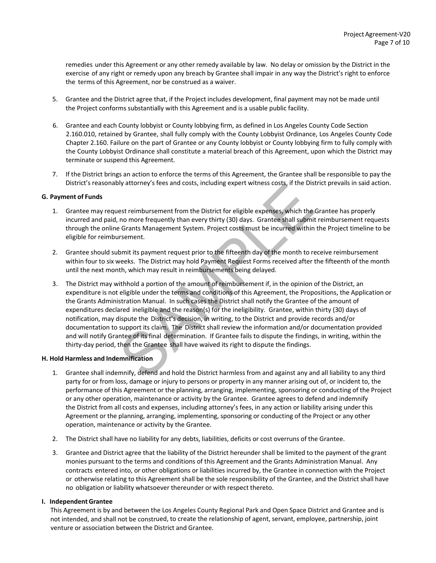remedies under this Agreement or any other remedy available by law. No delay or omission by the District in the exercise of any right or remedy upon any breach by Grantee shall impair in any way the District's right to enforce the terms of this Agreement, nor be construed as a waiver.

- 5. Grantee and the District agree that, if the Project includes development, final payment may not be made until the Project conforms substantially with this Agreement and is a usable public facility.
- 6. Grantee and each County lobbyist or County lobbying firm, as defined in Los Angeles County Code Section 2.160.010, retained by Grantee, shall fully comply with the County Lobbyist Ordinance, Los Angeles County Code Chapter 2.160. Failure on the part of Grantee or any County lobbyist or County lobbying firm to fully comply with the County Lobbyist Ordinance shall constitute a material breach of this Agreement, upon which the District may terminate or suspend this Agreement.
- 7. If the District brings an action to enforce the terms of this Agreement, the Grantee shall be responsible to pay the District's reasonably attorney's fees and costs, including expert witness costs, if the District prevails in said action.

## **G. Payment of Funds**

- 1. Grantee may request reimbursement from the District for eligible expenses, which the Grantee has properly incurred and paid, no more frequently than every thirty (30) days. Grantee shall submit reimbursement requests through the online Grants Management System. Project costs must be incurred within the Project timeline to be eligible for reimbursement.
- 2. Grantee should submit its payment request prior to the fifteenth day of the month to receive reimbursement within four to six weeks. The District may hold Payment Request Forms received after the fifteenth of the month until the next month, which may result in reimbursements being delayed.
- by attorney's rees and costs, including expert witness costs, in the District referrence and the non more frequently than every thirty (30) days. Grantee shall submit e Grants Management System. Project costs must be incur 3. The District may withhold a portion of the amount of reimbursement if, in the opinion of the District, an expenditure is not eligible under the terms and conditions of this Agreement, the Propositions, the Application or the Grants Administration Manual. In such cases the District shall notify the Grantee of the amount of expenditures declared ineligible and the reason(s) for the ineligibility. Grantee, within thirty (30) days of notification, may dispute the District's decision, in writing, to the District and provide records and/or documentation to support its claim. The District shall review the information and/or documentation provided and will notify Grantee of its final determination. If Grantee fails to dispute the findings, in writing, within the thirty‐day period, then the Grantee shall have waived its right to dispute the findings.

#### **H. Hold Harmless and Indemnification**

- 1. Grantee shall indemnify, defend and hold the District harmless from and against any and all liability to any third party for or from loss, damage or injury to persons or property in any manner arising out of, or incident to, the performance of this Agreement or the planning, arranging, implementing, sponsoring or conducting of the Project or any other operation, maintenance or activity by the Grantee. Grantee agrees to defend and indemnify the District from all costs and expenses, including attorney's fees, in any action or liability arising under this Agreement or the planning, arranging, implementing, sponsoring or conducting of the Project or any other operation, maintenance or activity by the Grantee.
- 2. The District shall have no liability for any debts, liabilities, deficits or cost overruns of the Grantee.
- 3. Grantee and District agree that the liability of the District hereunder shall be limited to the payment of the grant monies pursuant to the terms and conditions of this Agreement and the Grants Administration Manual. Any contracts entered into, or other obligations or liabilities incurred by, the Grantee in connection with the Project or otherwise relating to this Agreement shall be the sole responsibility of the Grantee, and the District shall have no obligation or liability whatsoever thereunder or with respect thereto.

## **I. IndependentGrantee**

 This Agreement is by and between the Los Angeles County Regional Park and Open Space District and Grantee and is not intended, and shall not be construed, to create the relationship of agent, servant, employee, partnership, joint venture or association between the District and Grantee.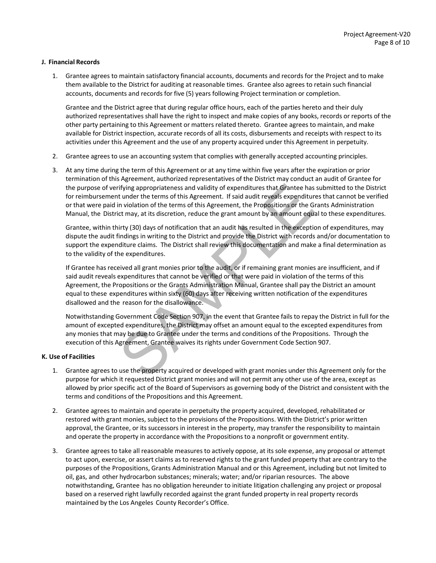## **J. Financial Records**

1. Grantee agrees to maintain satisfactory financial accounts, documents and records for the Project and to make them available to the District for auditing at reasonable times. Grantee also agrees to retain such financial accounts, documents and records for five (5) years following Project termination or completion.

Grantee and the District agree that during regular office hours, each of the parties hereto and their duly authorized representatives shall have the right to inspect and make copies of any books, records or reports of the other party pertaining to this Agreement or matters related thereto. Grantee agrees to maintain, and make available for District inspection, accurate records of all its costs, disbursements and receipts with respect to its activities under this Agreement and the use of any property acquired under this Agreement in perpetuity.

- 2. Grantee agrees to use an accounting system that complies with generally accepted accounting principles.
- 3. At any time during the term of this Agreement or at any time within five years after the expiration or prior termination of this Agreement, authorized representatives of the District may conduct an audit of Grantee for the purpose of verifying appropriateness and validity of expenditures that Grantee has submitted to the District for reimbursement under the terms of this Agreement. If said audit reveals expenditures that cannot be verified or that were paid in violation of the terms of this Agreement, the Propositions or the Grants Administration Manual, the District may, at its discretion, reduce the grant amount by an amount equal to these expenditures.

Grantee, within thirty (30) days of notification that an audit has resulted in the exception of expenditures, may dispute the audit findings in writing to the District and provide the District with records and/or documentation to support the expenditure claims. The District shall review this documentation and make a final determination as to the validity of the expenditures.

The state of this Agreement. If said and the state has the properties and validity of expenditures that Grantee has<br>the time terms of this Agreement. If said and the reveals expenditure<br>in violation of the terms of this Ag If Grantee has received all grant monies prior to the audit, or if remaining grant monies are insufficient, and if said audit reveals expenditures that cannot be verified or that were paid in violation of the terms of this Agreement, the Propositions or the Grants Administration Manual, Grantee shall pay the District an amount equal to these expenditures within sixty (60) days after receiving written notification of the expenditures disallowed and the reason for the disallowance.

Notwithstanding Government Code Section 907, in the event that Grantee fails to repay the District in full for the amount of excepted expenditures, the District may offset an amount equal to the excepted expenditures from any monies that may be due to Grantee under the terms and conditions of the Propositions. Through the execution of this Agreement, Grantee waives its rights under Government Code Section 907.

#### **K. Use of Facilities**

- 1. Grantee agrees to use the property acquired or developed with grant monies under this Agreement only for the purpose for which it requested District grant monies and will not permit any other use of the area, except as allowed by prior specific act of the Board of Supervisors as governing body of the District and consistent with the terms and conditions of the Propositions and this Agreement.
- 2. Grantee agrees to maintain and operate in perpetuity the property acquired, developed, rehabilitated or restored with grant monies, subject to the provisions of the Propositions. With the District's prior written approval, the Grantee, or its successors in interest in the property, may transfer the responsibility to maintain and operate the property in accordance with the Propositions to a nonprofit or government entity.
- 3. Grantee agrees to take all reasonable measures to actively oppose, at its sole expense, any proposal or attempt to act upon, exercise, or assert claims as to reserved rights to the grant funded property that are contrary to the purposes of the Propositions, Grants Administration Manual and or this Agreement, including but not limited to oil, gas, and other hydrocarbon substances; minerals; water; and/or riparian resources. The above notwithstanding, Grantee has no obligation hereunder to initiate litigation challenging any project or proposal based on a reserved right lawfully recorded against the grant funded property in real property records maintained by the Los Angeles County Recorder's Office.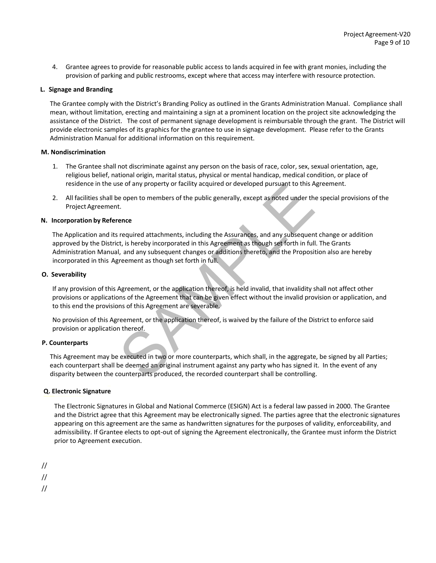4. Grantee agrees to provide for reasonable public access to lands acquired in fee with grant monies, including the provision of parking and public restrooms, except where that access may interfere with resource protection.

## **L. Signage and Branding**

The Grantee comply with the District's Branding Policy as outlined in the Grants Administration Manual. Compliance shall mean, without limitation, erecting and maintaining a sign at a prominent location on the project site acknowledging the assistance of the District. The cost of permanent signage development is reimbursable through the grant. The District will provide electronic samples of its graphics for the grantee to use in signage development. Please refer to the Grants Administration Manual for additional information on this requirement.

#### **M. Nondiscrimination**

- 1. The Grantee shall not discriminate against any person on the basis of race, color, sex, sexual orientation, age, religious belief, national origin, marital status, physical or mental handicap, medical condition, or place of residence in the use of any property or facility acquired or developed pursuant to this Agreement.
- 2. All facilities shall be open to members of the public generally, except as noted under the special provisions of the Project Agreement.

## **N. Incorporation by Reference**

be of any property or facility acquired or developed pursuant to this A<br>e open to members of the public generally, except as noted under the<br>t.<br>**ence**<br>required attachments, including the Assurances, and any subsequent,<br>t, The Application and its required attachments, including the Assurances, and any subsequent change or addition approved by the District, is hereby incorporated in this Agreement as though set forth in full. The Grants Administration Manual, and any subsequent changes or additions thereto, and the Proposition also are hereby incorporated in this Agreement as though set forth in full.

## **O. Severability**

If any provision of this Agreement, or the application thereof, is held invalid, that invalidity shall not affect other provisions or applications of the Agreement that can be given effect without the invalid provision or application, and to this end the provisions of this Agreement are severable.

No provision of this Agreement, or the application thereof, is waived by the failure of the District to enforce said provision or application thereof.

#### **P. Counterparts**

 This Agreement may be executed in two or more counterparts, which shall, in the aggregate, be signed by all Parties; each counterpart shall be deemed an original instrument against any party who has signed it. In the event of any disparity between the counterparts produced, the recorded counterpart shall be controlling.

## **Q. Electronic Signature**

The Electronic Signatures in Global and National Commerce (ESIGN) Act is a federal law passed in 2000. The Grantee and the District agree that this Agreement may be electronically signed. The parties agree that the electronic signatures appearing on this agreement are the same as handwritten signatures for the purposes of validity, enforceability, and admissibility. If Grantee elects to opt‐out of signing the Agreement electronically, the Grantee must inform the District prior to Agreement execution.

//

//

//